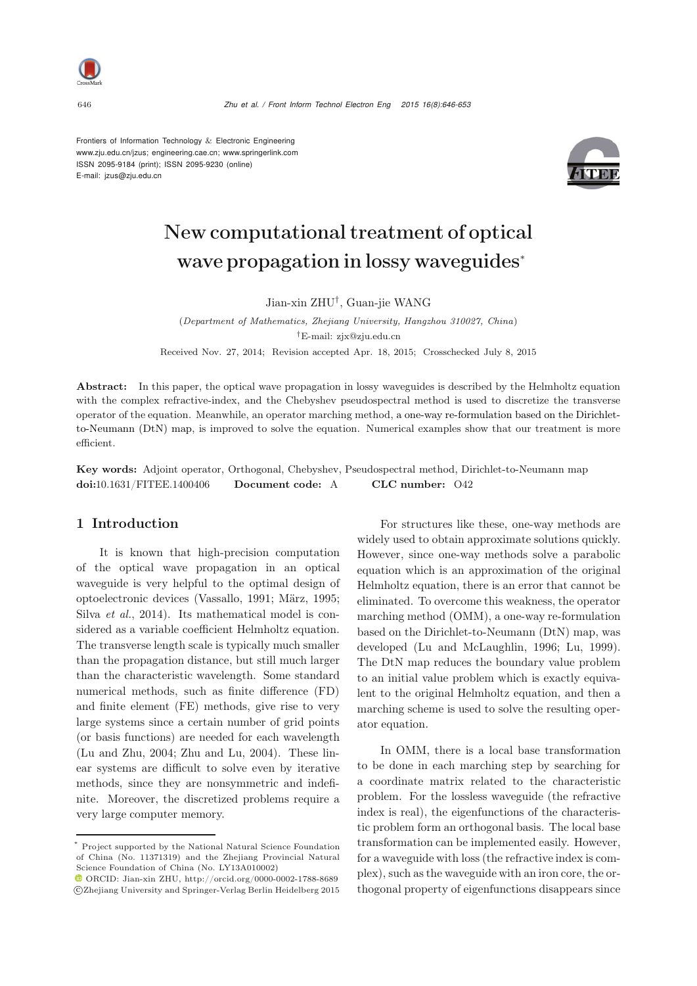

Frontiers of Information Technology  $&$  Electronic Engineering www.zju.edu.cn/jzus; engineering.cae.cn; www.springerlink.com ISSN 2095-9184 (print); ISSN 2095-9230 (online) E-mail: jzus@zju.edu.cn



# New computational treatment of optical wave propagation in lossy waveguides<sup>∗</sup>

Jian-xin ZHU†, Guan-jie WANG

(*Department of Mathematics, Zhejiang University, Hangzhou 310027, China*) *†*E-mail: zjx@zju.edu.cn Received Nov. 27, 2014; Revision accepted Apr. 18, 2015; Crosschecked July 8, 2015

Abstract: In this paper, the optical wave propagation in lossy waveguides is described by the Helmholtz equation with the complex refractive-index, and the Chebyshev pseudospectral method is used to discretize the transverse operator of the equation. Meanwhile, an operator marching method, a one-way re-formulation based on the Dirichletto-Neumann (DtN) map, is improved to solve the equation. Numerical examples show that our treatment is more efficient.

Key words: Adjoint operator, Orthogonal, Chebyshev, Pseudospectral method, Dirichlet-to-Neumann map doi:10.1631/FITEE.1400406 Document code: A CLC number: O42

# 1 Introduction

It is known that high-precision computation of the optical wave propagation in an optical waveguide is very helpful to the optimal design of optoelectronic devices [\(Vassallo](#page-7-0), [1991](#page-7-0); [März, 1995;](#page-7-1) Silva *[et al.](#page-7-2)*, [2014](#page-7-2)). Its mathematical model is considered as a variable coefficient Helmholtz equation. The transverse length scale is typically much smaller than the propagation distance, but still much larger than the characteristic wavelength. Some standard numerical methods, such as finite difference (FD) and finite element (FE) methods, give rise to very large systems since a certain number of grid points (or basis functions) are needed for each wavelength [\(Lu and Zhu](#page-7-3), [2004](#page-7-3); [Zhu and Lu, 2004\)](#page-7-4). These linear systems are difficult to solve even by iterative methods, since they are nonsymmetric and indefinite. Moreover, the discretized problems require a very large computer memory.

For structures like these, one-way methods are widely used to obtain approximate solutions quickly. However, since one-way methods solve a parabolic equation which is an approximation of the original Helmholtz equation, there is an error that cannot be eliminated. To overcome this weakness, the operator marching method (OMM), a one-way re-formulation based on the Dirichlet-to-Neumann (DtN) map, was developed [\(Lu and McLaughlin, 1996;](#page-7-5) [Lu](#page-7-6), [1999\)](#page-7-6). The DtN map reduces the boundary value problem to an initial value problem which is exactly equivalent to the original Helmholtz equation, and then a marching scheme is used to solve the resulting operator equation.

In OMM, there is a local base transformation to be done in each marching step by searching for a coordinate matrix related to the characteristic problem. For the lossless waveguide (the refractive index is real), the eigenfunctions of the characteristic problem form an orthogonal basis. The local base transformation can be implemented easily. However, for a waveguide with loss (the refractive index is complex), such as the waveguide with an iron core, the orthogonal property of eigenfunctions disappears since

<sup>\*</sup> Project supported by the National Natural Science Foundation of China (No. 11371319) and the Zhejiang Provincial Natural Science Foundation of China (No. LY13A010002)

ORCID: Jian-xin ZHU, http://orcid.org/0000-0002-1788-8689 c Zhejiang University and Springer-Verlag Berlin Heidelberg 2015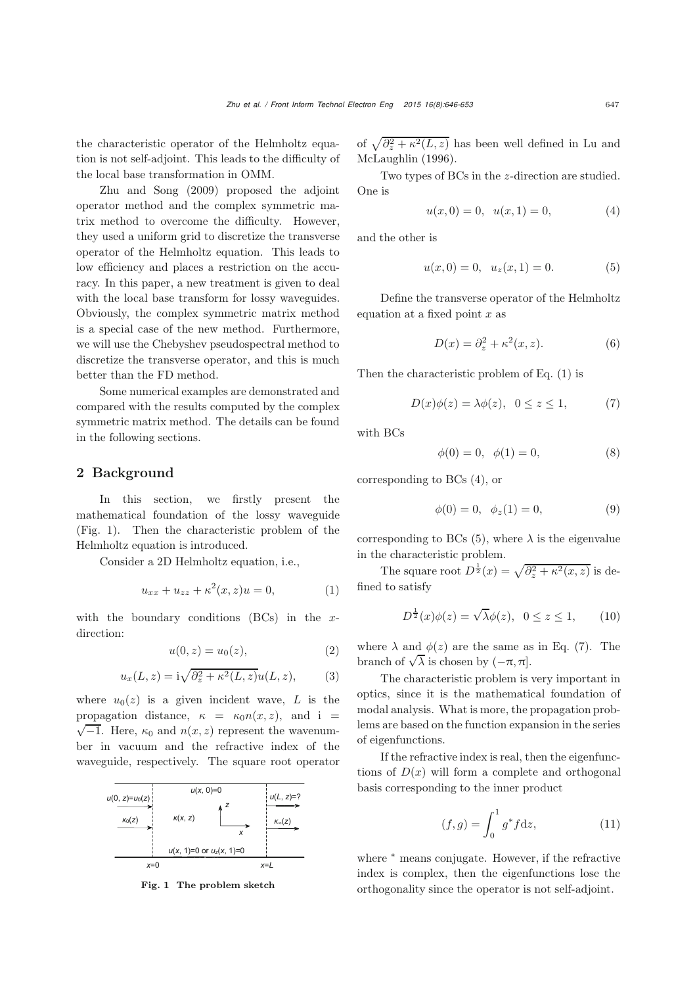the characteristic operator of the Helmholtz equation is not self-adjoint. This leads to the difficulty of [the](#page-7-7) [local](#page-7-7) [base](#page-7-7) [transfo](#page-7-7)rmation in OMM.

Zhu and Song [\(2009](#page-7-7)) proposed the adjoint operator method and the complex symmetric matrix method to overcome the difficulty. However, they used a uniform grid to discretize the transverse operator of the Helmholtz equation. This leads to low efficiency and places a restriction on the accuracy. In this paper, a new treatment is given to deal with the local base transform for lossy waveguides. Obviously, the complex symmetric matrix method is a special case of the new method. Furthermore, we will use the Chebyshev pseudospectral method to discretize the transverse operator, and this is much better than the FD method.

Some numerical examples are demonstrated and compared with the results computed by the complex symmetric matrix method. The details can be found in the following sections.

# 2 Background

In this section, we firstly present the mathematical foundation of the lossy waveguide (Fig. [1\)](#page-1-0). Then the characteristic problem of the Helmholtz equation is introduced.

Consider a 2D Helmholtz equation, i.e.,

<span id="page-1-1"></span>
$$
u_{xx} + u_{zz} + \kappa^2(x, z)u = 0,
$$
 (1)

with the boundary conditions  $(BCs)$  in the xdirection:

$$
u(0, z) = u_0(z),
$$
 (2)

$$
u_x(L, z) = i\sqrt{\partial_z^2 + \kappa^2(L, z)}u(L, z), \qquad (3)
$$

where  $u_0(z)$  is a given incident wave, L is the propagation distance,  $\kappa = \kappa_0 n(x, z)$ , and i =  $\sqrt{-1}$ . Here,  $\kappa_0$  and  $n(x, z)$  represent the wavenumber in vacuum and the refractive index of the waveguide, respectively. The square root operator



<span id="page-1-0"></span>Fig. 1 The problem sketch

of  $\sqrt{\partial_z^2 + \kappa^2(L, z)}$  [has](#page-7-5) [been](#page-7-5) [well](#page-7-5) [defined](#page-7-5) [in](#page-7-5) Lu and McLaughlin [\(1996](#page-7-5)).

Two types of BCs in the z-direction are studied. One is

<span id="page-1-2"></span>
$$
u(x,0) = 0, \quad u(x,1) = 0,\tag{4}
$$

and the other is

<span id="page-1-3"></span>
$$
u(x,0) = 0, \quad u_z(x,1) = 0. \tag{5}
$$

Define the transverse operator of the Helmholtz equation at a fixed point  $x$  as

$$
D(x) = \partial_z^2 + \kappa^2(x, z). \tag{6}
$$

Then the characteristic problem of Eq. [\(1\)](#page-1-1) is

<span id="page-1-4"></span>
$$
D(x)\phi(z) = \lambda \phi(z), \quad 0 \le z \le 1,\tag{7}
$$

with BCs

<span id="page-1-5"></span>
$$
\phi(0) = 0, \quad \phi(1) = 0,\tag{8}
$$

corresponding to BCs [\(4\)](#page-1-2), or

<span id="page-1-6"></span>
$$
\phi(0) = 0, \ \ \phi_z(1) = 0,\tag{9}
$$

corresponding to BCs [\(5\)](#page-1-3), where  $\lambda$  is the eigenvalue in the characteristic problem.

The square root  $D^{\frac{1}{2}}(x) = \sqrt{\partial_x^2 + \kappa^2(x, z)}$  is defined to satisfy

$$
D^{\frac{1}{2}}(x)\phi(z) = \sqrt{\lambda}\phi(z), \quad 0 \le z \le 1,\tag{10}
$$

where  $\lambda$  and  $\phi(z)$  are the same as in Eq. [\(7\)](#page-1-4). The where  $\lambda$  and  $\varphi(z)$  are the same as<br>branch of  $\sqrt{\lambda}$  is chosen by  $(-\pi, \pi]$ .

The characteristic problem is very important in optics, since it is the mathematical foundation of modal analysis. What is more, the propagation problems are based on the function expansion in the series of eigenfunctions.

If the refractive index is real, then the eigenfunctions of  $D(x)$  will form a complete and orthogonal basis corresponding to the inner product

$$
(f,g) = \int_0^1 g^* f \, \mathrm{d}z,\tag{11}
$$

where  $*$  means conjugate. However, if the refractive index is complex, then the eigenfunctions lose the orthogonality since the operator is not self-adjoint.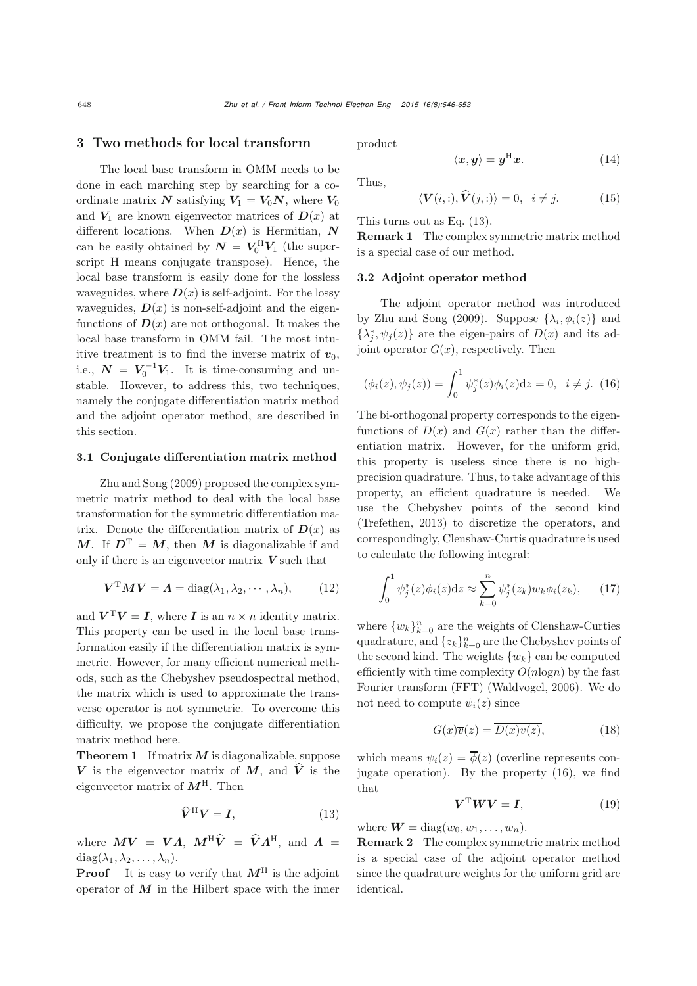## 3 Two methods for local transform

The local base transform in OMM needs to be done in each marching step by searching for a coordinate matrix  $N$  satisfying  $V_1 = V_0 N$ , where  $V_0$ and  $V_1$  are known eigenvector matrices of  $D(x)$  at different locations. When  $D(x)$  is Hermitian,  $N$ can be easily obtained by  $N = V_0^H V_1$  (the superscript H means conjugate transpose). Hence, the local base transform is easily done for the lossless waveguides, where  $\mathbf{D}(x)$  is self-adjoint. For the lossy waveguides,  $\mathbf{D}(x)$  is non-self-adjoint and the eigenfunctions of  $D(x)$  are not orthogonal. It makes the local base transform in OMM fail. The most intuitive treatment is to find the inverse matrix of  $v_0$ , i.e.,  $N = V_0^{-1}V_1$ . It is time-consuming and unstable. However, to address this, two techniques, namely the conjugate differentiation matrix method and the adjoint operator method, are described in this section.

## 3.1 Conjugate differentiation matrix method

Zhu and Song [\(2009](#page-7-7)) proposed the complex symmetric matrix method to deal with the local base transformation for the symmetric differentiation matrix. Denote the differentiation matrix of  $D(x)$  as *M*. If  $D^{T} = M$ , then *M* is diagonalizable if and only if there is an eigenvector matrix *V* such that

$$
\boldsymbol{V}^{\mathrm{T}} \boldsymbol{M} \boldsymbol{V} = \boldsymbol{\Lambda} = \mathrm{diag}(\lambda_1, \lambda_2, \cdots, \lambda_n), \qquad (12)
$$

and  $V^{\mathrm{T}}V = I$ , where *I* is an  $n \times n$  identity matrix. This property can be used in the local base transformation easily if the differentiation matrix is symmetric. However, for many efficient numerical methods, such as the Chebyshev pseudospectral method, the matrix which is used to approximate the transverse operator is not symmetric. To overcome this difficulty, we propose the conjugate differentiation matrix method here.

**Theorem 1** If matrix  $M$  is diagonalizable, suppose *V* is the eigenvector matrix of *M*, and  $\hat{V}$  is the eigenvector matrix of  $M<sup>H</sup>$ . Then

<span id="page-2-0"></span>
$$
\widehat{V}^{\mathrm{H}}V = I,\tag{13}
$$

where  $MV = VA$ ,  $M^{\text{H}}\hat{V} = \hat{V}A^{\text{H}}$ , and  $A =$  $diag(\lambda_1, \lambda_2, \ldots, \lambda_n).$ 

**Proof** It is easy to verify that  $M<sup>H</sup>$  is the adjoint operator of  $M$  in the Hilbert space with the inner product

$$
\langle x, y \rangle = y^{\mathrm{H}} x. \tag{14}
$$

Thus,

$$
\langle \mathbf{V}(i,:), \hat{\mathbf{V}}(j,:) \rangle = 0, \ \ i \neq j. \tag{15}
$$

This turns out as Eq. [\(13\)](#page-2-0).

Remark 1 The complex symmetric matrix method is a special case of our method.

# 3.2 Adjoint operator method

The adjoint operator method was introduced by [Zhu and Song](#page-7-7) [\(2009](#page-7-7)). Suppose  $\{\lambda_i, \phi_i(z)\}\$  and  $\{\lambda_j^*, \psi_j(z)\}\$ are the eigen-pairs of  $D(x)$  and its adjoint operator  $G(x)$ , respectively. Then

<span id="page-2-1"></span>
$$
(\phi_i(z), \psi_j(z)) = \int_0^1 \psi_j^*(z)\phi_i(z)dz = 0, \ \ i \neq j. \ (16)
$$

The bi-orthogonal property corresponds to the eigenfunctions of  $D(x)$  and  $G(x)$  rather than the differentiation matrix. However, for the uniform grid, this property is useless since there is no highprecision quadrature. Thus, to take advantage of this property, an efficient quadrature is needed. We use the Chebyshev points of the second kind [\(Trefethen, 2013](#page-7-8)) to discretize the operators, and correspondingly, Clenshaw-Curtis quadrature is used to calculate the following integral:

$$
\int_0^1 \psi_j^*(z)\phi_i(z)dz \approx \sum_{k=0}^n \psi_j^*(z_k)w_k\phi_i(z_k), \qquad (17)
$$

where  $\{w_k\}_{k=0}^n$  are the weights of Clenshaw-Curties quadrature, and  $\{z_k\}_{k=0}^n$  are the Chebyshev points of the second kind. The weights  $\{w_k\}$  can be computed efficiently with time complexity  $O(n \log n)$  by the fast Fourier transform (FFT) [\(Waldvogel](#page-7-9), [2006](#page-7-9)). We do not need to compute  $\psi_i(z)$  since

$$
G(x)\overline{v}(z) = \overline{D(x)v(z)},
$$
\n(18)

which means  $\psi_i(z) = \overline{\phi}(z)$  (overline represents conjugate operation). By the property [\(16\)](#page-2-1), we find that

$$
V^{\mathrm{T}} W V = I, \tag{19}
$$

where  $\mathbf{W} = \text{diag}(w_0, w_1, \dots, w_n)$ .

Remark 2 The complex symmetric matrix method is a special case of the adjoint operator method since the quadrature weights for the uniform grid are identical.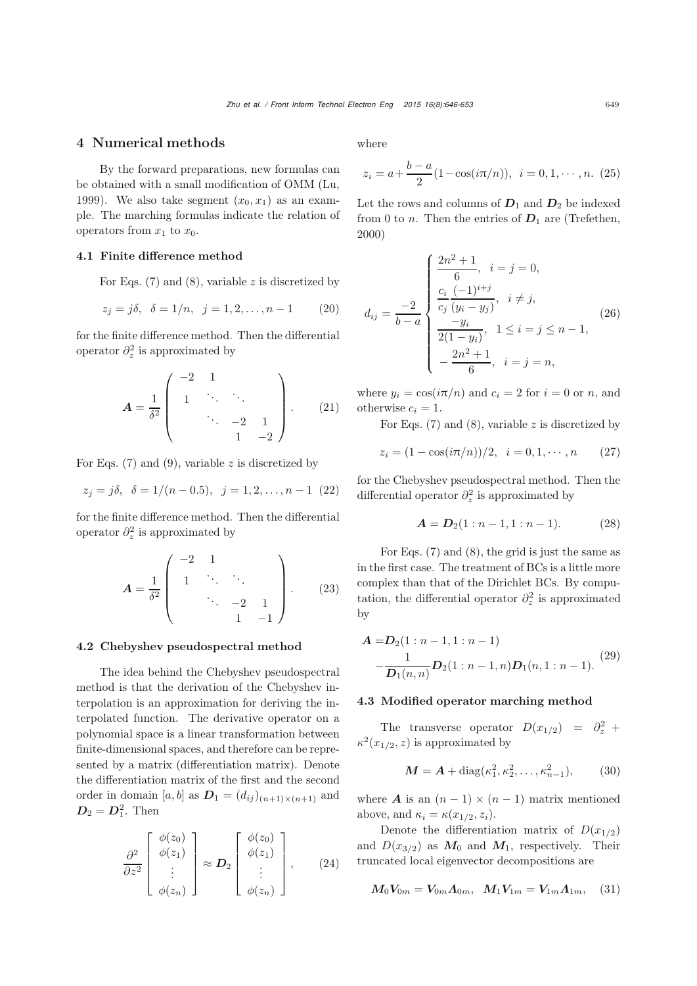## 4 Numerical methods

By the forward preparations, new formulas can be obtained with a small modification of OMM [\(Lu](#page-7-6), [1999](#page-7-6)). We also take segment  $(x_0, x_1)$  as an example. The marching formulas indicate the relation of operators from  $x_1$  to  $x_0$ .

## 4.1 Finite difference method

For Eqs.  $(7)$  and  $(8)$ , variable z is discretized by

$$
z_j = j\delta, \ \ \delta = 1/n, \ \ j = 1, 2, \dots, n - 1 \tag{20}
$$

for the finite difference method. Then the differential operator  $\partial_z^2$  is approximated by

$$
A = \frac{1}{\delta^2} \begin{pmatrix} -2 & 1 & & & \\ & 1 & \ddots & \ddots & \\ & & \ddots & -2 & 1 \\ & & & 1 & -2 \end{pmatrix} .
$$
 (21)

For Eqs.  $(7)$  and  $(9)$ , variable z is discretized by

$$
z_j = j\delta, \ \delta = 1/(n-0.5), \ j = 1, 2, \dots, n-1
$$
 (22)

for the finite difference method. Then the differential operator  $\partial_z^2$  is approximated by

$$
A = \frac{1}{\delta^2} \begin{pmatrix} -2 & 1 & & & \\ 1 & \ddots & \ddots & & \\ & \ddots & -2 & 1 & \\ & & 1 & -1 \end{pmatrix} .
$$
 (23)

#### 4.2 Chebyshev pseudospectral method

The idea behind the Chebyshev pseudospectral method is that the derivation of the Chebyshev interpolation is an approximation for deriving the interpolated function. The derivative operator on a polynomial space is a linear transformation between finite-dimensional spaces, and therefore can be represented by a matrix (differentiation matrix). Denote the differentiation matrix of the first and the second order in domain [a, b] as  $D_1 = (d_{ij})_{(n+1)\times(n+1)}$  and  $D_2 = D_1^2$ . Then

$$
\frac{\partial^2}{\partial z^2} \begin{bmatrix} \phi(z_0) \\ \phi(z_1) \\ \vdots \\ \phi(z_n) \end{bmatrix} \approx \mathbf{D}_2 \begin{bmatrix} \phi(z_0) \\ \phi(z_1) \\ \vdots \\ \phi(z_n) \end{bmatrix}, \qquad (24)
$$

where

$$
z_i = a + \frac{b - a}{2} (1 - \cos(i\pi/n)), \ \ i = 0, 1, \cdots, n. \ (25)
$$

Let the rows and columns of  $D_1$  and  $D_2$  be indexed from 0 to *n*. Then the entries of  $D_1$  are [\(Trefethen](#page-7-10), [2000](#page-7-10))

$$
d_{ij} = \frac{-2}{b-a} \begin{cases} \frac{2n^2+1}{6}, & i = j = 0, \\ \frac{c_i}{c_j} \frac{(-1)^{i+j}}{(y_i - y_j)}, & i \neq j, \\ \frac{-y_i}{2(1-y_i)}, & 1 \leq i = j \leq n-1, \\ -\frac{2n^2+1}{6}, & i = j = n, \end{cases} \tag{26}
$$

where  $y_i = \cos(i\pi/n)$  and  $c_i = 2$  for  $i = 0$  or n, and otherwise  $c_i = 1$ .

For Eqs.  $(7)$  and  $(8)$ , variable z is discretized by

$$
z_i = (1 - \cos(i\pi/n))/2, \quad i = 0, 1, \cdots, n \qquad (27)
$$

for the Chebyshev pseudospectral method. Then the differential operator  $\partial_z^2$  is approximated by

$$
A = D_2(1:n-1,1:n-1).
$$
 (28)

For Eqs. [\(7\)](#page-1-4) and [\(8\)](#page-1-5), the grid is just the same as in the first case. The treatment of BCs is a little more complex than that of the Dirichlet BCs. By computation, the differential operator  $\partial_z^2$  is approximated by

$$
\mathbf{A} = \mathbf{D}_2(1:n-1,1:n-1) - \frac{1}{\mathbf{D}_1(n,n)} \mathbf{D}_2(1:n-1,n) \mathbf{D}_1(n,1:n-1).
$$
 (29)

## 4.3 Modified operator marching method

The transverse operator  $D(x_{1/2}) = \partial_z^2 +$  $\kappa^2(x_{1/2}, z)$  is approximated by

$$
M = A + \text{diag}(\kappa_1^2, \kappa_2^2, \dots, \kappa_{n-1}^2), \quad (30)
$$

where **A** is an  $(n - 1) \times (n - 1)$  matrix mentioned above, and  $\kappa_i = \kappa(x_{1/2}, z_i)$ .

Denote the differentiation matrix of  $D(x_{1/2})$ and  $D(x_{3/2})$  as  $M_0$  and  $M_1$ , respectively. Their truncated local eigenvector decompositions are

$$
M_0 V_{0m} = V_{0m} \Lambda_{0m}, \ \ M_1 V_{1m} = V_{1m} \Lambda_{1m}, \quad (31)
$$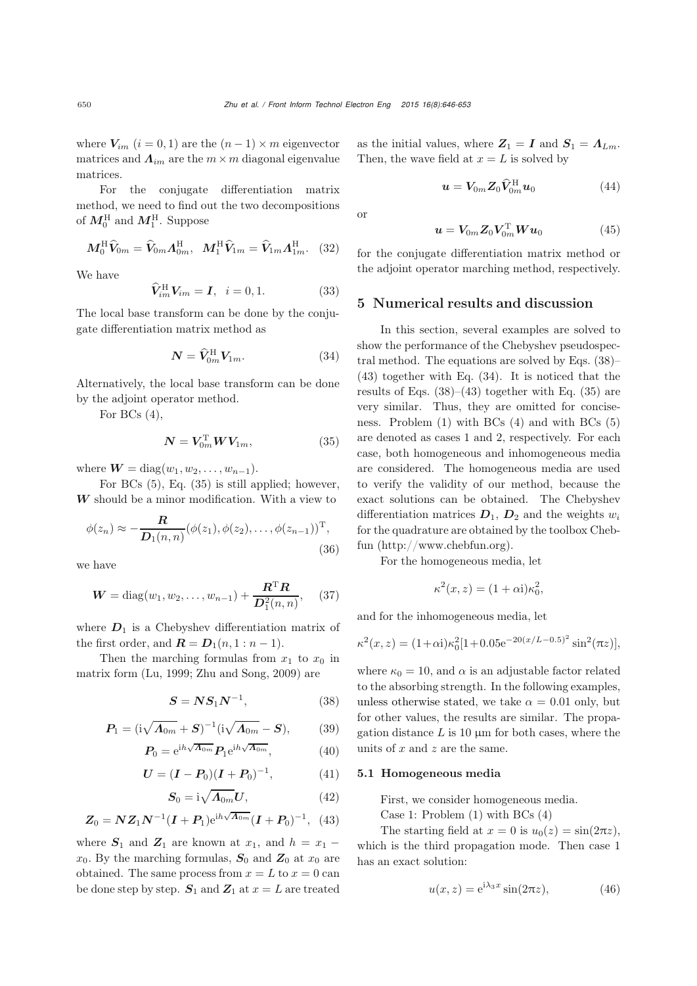where  $V_{im}$   $(i = 0, 1)$  are the  $(n - 1) \times m$  eigenvector matrices and  $\Lambda_{im}$  are the  $m \times m$  diagonal eigenvalue matrices.

For the conjugate differentiation matrix method, we need to find out the two decompositions of  $M_0^{\rm H}$  and  $M_1^{\rm H}$ . Suppose

$$
\boldsymbol{M}_0^{\rm H} \widehat{\boldsymbol{V}}_{0m} = \widehat{\boldsymbol{V}}_{0m} \boldsymbol{\Lambda}_{0m}^{\rm H}, \ \ \boldsymbol{M}_1^{\rm H} \widehat{\boldsymbol{V}}_{1m} = \widehat{\boldsymbol{V}}_{1m} \boldsymbol{\Lambda}_{1m}^{\rm H}. \ \ (32)
$$

We have

$$
\widehat{V}_{im}^{\rm H} V_{im} = I, \quad i = 0, 1. \tag{33}
$$

The local base transform can be done by the conjugate differentiation matrix method as

<span id="page-4-3"></span>
$$
\mathbf{N} = \widehat{\mathbf{V}}_{0m}^{\mathrm{H}} \mathbf{V}_{1m}.
$$
 (34)

Alternatively, the local base transform can be done by the adjoint operator method.

For BCs  $(4)$ ,

<span id="page-4-0"></span>
$$
\mathbf{N} = \mathbf{V}_{0m}^{\mathrm{T}} \mathbf{W} \mathbf{V}_{1m}, \tag{35}
$$

where  $W = diag(w_1, w_2, \ldots, w_{n-1}).$ 

For BCs [\(5\)](#page-1-3), Eq. [\(35\)](#page-4-0) is still applied; however, *W* should be a minor modification. With a view to

$$
\phi(z_n) \approx -\frac{\mathbf{R}}{\mathbf{D}_1(n,n)} (\phi(z_1), \phi(z_2), \dots, \phi(z_{n-1}))^{\mathrm{T}},
$$
\n(36)

we have

$$
W = diag(w_1, w_2, \dots, w_{n-1}) + \frac{R^{T}R}{D_1^{2}(n, n)},
$$
 (37)

where  $D_1$  is a Chebyshev differentiation matrix of the first order, and  $\mathbf{R} = \mathbf{D}_1(n, 1 : n-1)$ .

Then the marching formulas from  $x_1$  to  $x_0$  in matrix form [\(Lu](#page-7-6), [1999](#page-7-6); [Zhu and Song, 2009](#page-7-7)) are

<span id="page-4-1"></span>
$$
S = NS_1 N^{-1}, \tag{38}
$$

$$
P_1 = (i\sqrt{\Lambda_{0m}} + S)^{-1} (i\sqrt{\Lambda_{0m}} - S), \qquad (39)
$$

$$
P_0 = e^{ih\sqrt{\Lambda_{0m}}} P_1 e^{ih\sqrt{\Lambda_{0m}}}, \qquad (40)
$$

$$
U = (I - P_0)(I + P_0)^{-1}, \tag{41}
$$

$$
S_0 = \mathrm{i} \sqrt{\Lambda_{0m}} U, \tag{42}
$$

<span id="page-4-2"></span>
$$
Z_0 = N Z_1 N^{-1} (I + P_1) e^{i h \sqrt{\Lambda_{0m}}} (I + P_0)^{-1}, \quad (43)
$$

where  $S_1$  and  $Z_1$  are known at  $x_1$ , and  $h = x_1$  $x_0$ . By the marching formulas,  $S_0$  and  $Z_0$  at  $x_0$  are obtained. The same process from  $x = L$  to  $x = 0$  can be done step by step.  $S_1$  and  $Z_1$  at  $x = L$  are treated

as the initial values, where  $Z_1 = I$  and  $S_1 = \Lambda_{Lm}$ . Then, the wave field at  $x = L$  is solved by

$$
\boldsymbol{u} = \boldsymbol{V}_{0m} \boldsymbol{Z}_0 \widehat{\boldsymbol{V}}_{0m}^{\mathrm{H}} \boldsymbol{u}_0 \tag{44}
$$

or

$$
\boldsymbol{u} = \boldsymbol{V}_{0m} \boldsymbol{Z}_0 \boldsymbol{V}_{0m}^{\mathrm{T}} \boldsymbol{W} \boldsymbol{u}_0 \tag{45}
$$

for the conjugate differentiation matrix method or the adjoint operator marching method, respectively.

# 5 Numerical results and discussion

In this section, several examples are solved to show the performance of the Chebyshev pseudospectral method. The equations are solved by Eqs. [\(38\)](#page-4-1)– [\(43\)](#page-4-2) together with Eq. [\(34\)](#page-4-3). It is noticed that the results of Eqs.  $(38)–(43)$  $(38)–(43)$  $(38)–(43)$  together with Eq.  $(35)$  are very similar. Thus, they are omitted for conciseness. Problem [\(1\)](#page-1-1) with BCs [\(4\)](#page-1-2) and with BCs [\(5\)](#page-1-3) are denoted as cases 1 and 2, respectively. For each case, both homogeneous and inhomogeneous media are considered. The homogeneous media are used to verify the validity of our method, because the exact solutions can be obtained. The Chebyshev differentiation matrices  $D_1$ ,  $D_2$  and the weights  $w_i$ for the quadrature are obtained by the toolbox Chebfun (http://www.chebfun.org).

For the homogeneous media, let

$$
\kappa^2(x, z) = (1 + \alpha i)\kappa_0^2,
$$

and for the inhomogeneous media, let

$$
\kappa^{2}(x, z) = (1 + \alpha i)\kappa_0^{2} [1 + 0.05 e^{-20(x/L - 0.5)^{2}} \sin^{2}(\pi z)],
$$

where  $\kappa_0 = 10$ , and  $\alpha$  is an adjustable factor related to the absorbing strength. In the following examples, unless otherwise stated, we take  $\alpha = 0.01$  only, but for other values, the results are similar. The propagation distance  $L$  is 10  $\mu$ m for both cases, where the units of  $x$  and  $z$  are the same.

## 5.1 Homogeneous media

First, we consider homogeneous media.

Case 1: Problem [\(1\)](#page-1-1) with BCs [\(4\)](#page-1-2)

The starting field at  $x = 0$  is  $u_0(z) = \sin(2\pi z)$ , which is the third propagation mode. Then case 1 has an exact solution:

<span id="page-4-4"></span>
$$
u(x, z) = e^{i\lambda_3 x} \sin(2\pi z), \qquad (46)
$$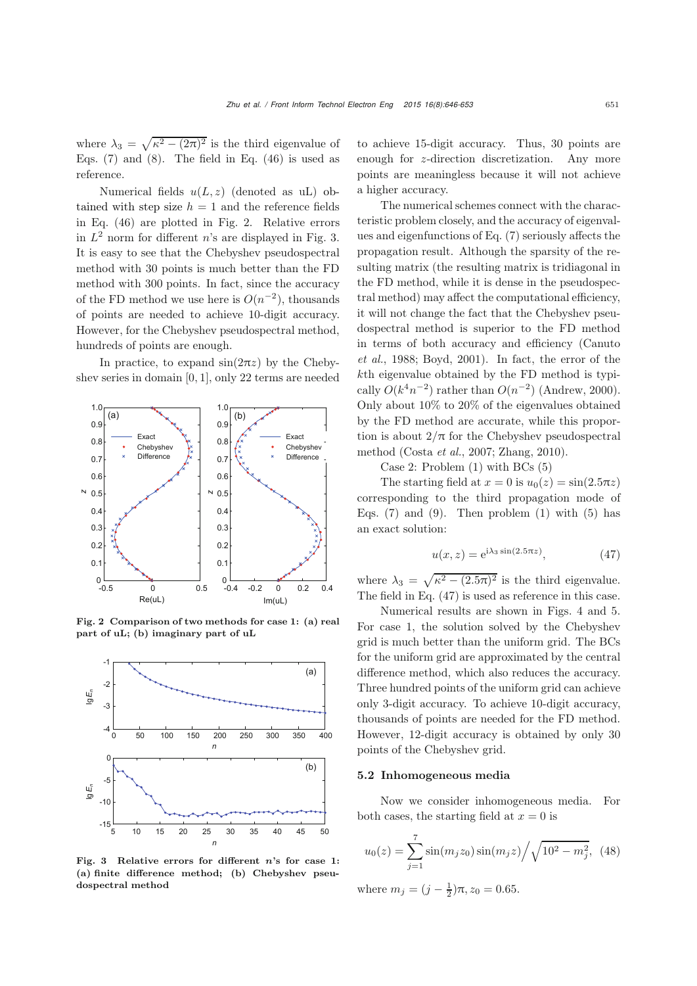where  $\lambda_3 = \sqrt{\kappa^2 - (2\pi)^2}$  is the third eigenvalue of Eqs.  $(7)$  and  $(8)$ . The field in Eq.  $(46)$  is used as reference.

Numerical fields  $u(L, z)$  (denoted as uL) obtained with step size  $h = 1$  and the reference fields in Eq. [\(46\)](#page-4-4) are plotted in Fig. [2.](#page-5-0) Relative errors in  $L^2$  norm for different *n*'s are displayed in Fig. [3.](#page-5-1) It is easy to see that the Chebyshev pseudospectral method with 30 points is much better than the FD method with 300 points. In fact, since the accuracy of the FD method we use here is  $O(n^{-2})$ , thousands of points are needed to achieve 10-digit accuracy. However, for the Chebyshev pseudospectral method, hundreds of points are enough.

In practice, to expand  $sin(2\pi z)$  by the Chebyshev series in domain [0, 1], only 22 terms are needed



<span id="page-5-0"></span>Fig. 2 Comparison of two methods for case 1: (a) real part of uL; (b) imaginary part of uL



<span id="page-5-1"></span>Fig. 3 Relative errors for different *n*'s for case 1: (a) finite difference method; (b) Chebyshev pseudospectral method

to achieve 15-digit accuracy. Thus, 30 points are enough for z-direction discretization. Any more points are meaningless because it will not achieve a higher accuracy.

The numerical schemes connect with the characteristic problem closely, and the accuracy of eigenvalues and eigenfunctions of Eq. [\(7\)](#page-1-4) seriously affects the propagation result. Although the sparsity of the resulting matrix (the resulting matrix is tridiagonal in the FD method, while it is dense in the pseudospectral method) may affect the computational efficiency, it will not change the fact that the Chebyshev pseudospectral method is superior to the FD method in te[rms](#page-7-11) [of](#page-7-11) [both](#page-7-11) [accuracy](#page-7-11) [and](#page-7-11) [efficiency](#page-7-11) [\(](#page-7-11)Canuto *et al.*, [1988;](#page-7-11) [Boyd](#page-7-12), [2001\)](#page-7-12). In fact, the error of the kth eigenvalue obtained by the FD method is typically  $O(k^4n^{-2})$  rather than  $O(n^{-2})$  [\(Andrew](#page-7-13), [2000\)](#page-7-13). Only about 10% to 20% of the eigenvalues obtained by the FD method are accurate, while this proportion is about  $2/\pi$  for the Chebyshev pseudospectral method [\(Costa](#page-7-14) *et al.*, [2007](#page-7-14); [Zhang](#page-7-15), [2010\)](#page-7-15).

Case 2: Problem [\(1\)](#page-1-1) with BCs [\(5\)](#page-1-3)

The starting field at  $x = 0$  is  $u_0(z) = \sin(2.5\pi z)$ corresponding to the third propagation mode of Eqs.  $(7)$  and  $(9)$ . Then problem  $(1)$  with  $(5)$  has an exact solution:

<span id="page-5-2"></span>
$$
u(x,z) = e^{i\lambda_3 \sin(2.5\pi z)},\tag{47}
$$

where  $\lambda_3 = \sqrt{\kappa^2 - (2.5\pi)^2}$  is the third eigenvalue. The field in Eq. [\(47\)](#page-5-2) is used as reference in this case.

Numerical results are shown in Figs. [4](#page-6-0) and [5.](#page-6-1) For case 1, the solution solved by the Chebyshev grid is much better than the uniform grid. The BCs for the uniform grid are approximated by the central difference method, which also reduces the accuracy. Three hundred points of the uniform grid can achieve only 3-digit accuracy. To achieve 10-digit accuracy, thousands of points are needed for the FD method. However, 12-digit accuracy is obtained by only 30 points of the Chebyshev grid.

## 5.2 Inhomogeneous media

Now we consider inhomogeneous media. For both cases, the starting field at  $x = 0$  is

$$
u_0(z) = \sum_{j=1}^{7} \sin(m_j z_0) \sin(m_j z) / \sqrt{10^2 - m_j^2}, \tag{48}
$$

where  $m_j = (j - \frac{1}{2})\pi$ ,  $z_0 = 0.65$ .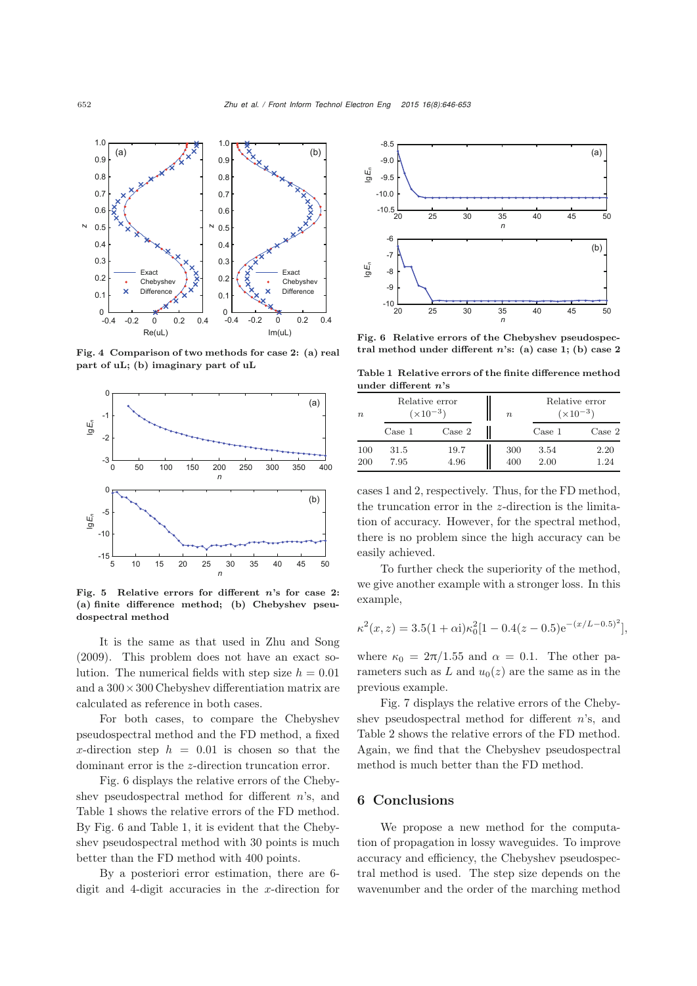

<span id="page-6-0"></span>Fig. 4 Comparison of two methods for case 2: (a) real part of uL; (b) imaginary part of uL



<span id="page-6-1"></span>Fig. 5 Relative errors for different *n*'s for case 2: (a) finite difference method; (b) Chebyshev pseudospectral method

It is the same as that used in [Zhu and Song](#page-7-7) [\(2009](#page-7-7)). This problem does not have an exact solution. The numerical fields with step size  $h = 0.01$ and a  $300 \times 300$  Chebyshev differentiation matrix are calculated as reference in both cases.

For both cases, to compare the Chebyshev pseudospectral method and the FD method, a fixed x-direction step  $h = 0.01$  is chosen so that the dominant error is the z-direction truncation error.

Fig. [6](#page-6-2) displays the relative errors of the Chebyshev pseudospectral method for different n's, and Table [1](#page-6-3) shows the relative errors of the FD method. By Fig. [6](#page-6-2) and Table [1,](#page-6-3) it is evident that the Chebyshev pseudospectral method with 30 points is much better than the FD method with 400 points.

By a posteriori error estimation, there are 6 digit and 4-digit accuracies in the x-direction for



<span id="page-6-2"></span>Fig. 6 Relative errors of the Chebyshev pseudospectral method under different *n*'s: (a) case 1; (b) case 2

<span id="page-6-3"></span>Table 1 Relative errors of the finite difference method under different *n*'s

| $n_{\rm c}$ | Relative error<br>$(\times 10^{-3})$ |                 | $\boldsymbol{n}$ | Relative error<br>$(x10^{-3})$ |        |
|-------------|--------------------------------------|-----------------|------------------|--------------------------------|--------|
|             | Case 1                               | $\text{Case} 2$ |                  | Case 1                         | Case 2 |
| 100         | 31.5                                 | 19.7            | 300              | 3.54                           | 2.20   |
| 200         | 7.95                                 | 4.96            | 400              | 2.00                           | 1.24   |

cases 1 and 2, respectively. Thus, for the FD method, the truncation error in the z-direction is the limitation of accuracy. However, for the spectral method, there is no problem since the high accuracy can be easily achieved.

To further check the superiority of the method, we give another example with a stronger loss. In this example,

$$
\kappa^{2}(x, z) = 3.5(1 + \alpha i)\kappa_0^{2}[1 - 0.4(z - 0.5)e^{-(x/L - 0.5)^{2}}],
$$

where  $\kappa_0 = 2\pi/1.55$  and  $\alpha = 0.1$ . The other parameters such as L and  $u_0(z)$  are the same as in the previous example.

Fig. [7](#page-7-16) displays the relative errors of the Chebyshev pseudospectral method for different  $n$ 's, and Table [2](#page-7-17) shows the relative errors of the FD method. Again, we find that the Chebyshev pseudospectral method is much better than the FD method.

## 6 Conclusions

We propose a new method for the computation of propagation in lossy waveguides. To improve accuracy and efficiency, the Chebyshev pseudospectral method is used. The step size depends on the wavenumber and the order of the marching method